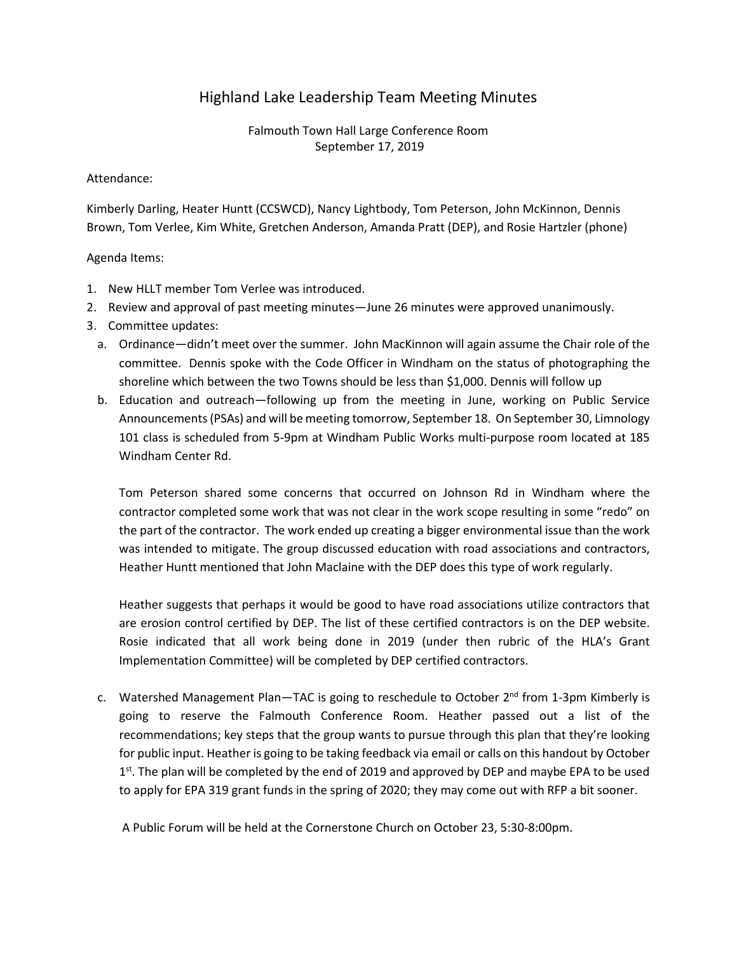# Highland Lake Leadership Team Meeting Minutes

Falmouth Town Hall Large Conference Room September 17, 2019

#### Attendance:

Kimberly Darling, Heater Huntt (CCSWCD), Nancy Lightbody, Tom Peterson, John McKinnon, Dennis Brown, Tom Verlee, Kim White, Gretchen Anderson, Amanda Pratt (DEP), and Rosie Hartzler (phone)

## Agenda Items:

- 1. New HLLT member Tom Verlee was introduced.
- 2. Review and approval of past meeting minutes—June 26 minutes were approved unanimously.
- 3. Committee updates:
	- a. Ordinance—didn't meet over the summer. John MacKinnon will again assume the Chair role of the committee. Dennis spoke with the Code Officer in Windham on the status of photographing the shoreline which between the two Towns should be less than \$1,000. Dennis will follow up
	- b. Education and outreach—following up from the meeting in June, working on Public Service Announcements (PSAs) and will be meeting tomorrow, September 18. On September 30, Limnology 101 class is scheduled from 5-9pm at Windham Public Works multi-purpose room located at 185 Windham Center Rd.

Tom Peterson shared some concerns that occurred on Johnson Rd in Windham where the contractor completed some work that was not clear in the work scope resulting in some "redo" on the part of the contractor. The work ended up creating a bigger environmental issue than the work was intended to mitigate. The group discussed education with road associations and contractors, Heather Huntt mentioned that John Maclaine with the DEP does this type of work regularly.

Heather suggests that perhaps it would be good to have road associations utilize contractors that are erosion control certified by DEP. The list of these certified contractors is on the DEP website. Rosie indicated that all work being done in 2019 (under then rubric of the HLA's Grant Implementation Committee) will be completed by DEP certified contractors.

c. Watershed Management Plan—TAC is going to reschedule to October  $2^{nd}$  from 1-3pm Kimberly is going to reserve the Falmouth Conference Room. Heather passed out a list of the recommendations; key steps that the group wants to pursue through this plan that they're looking for public input. Heather is going to be taking feedback via email or calls on this handout by October  $1<sup>st</sup>$ . The plan will be completed by the end of 2019 and approved by DEP and maybe EPA to be used to apply for EPA 319 grant funds in the spring of 2020; they may come out with RFP a bit sooner.

A Public Forum will be held at the Cornerstone Church on October 23, 5:30-8:00pm.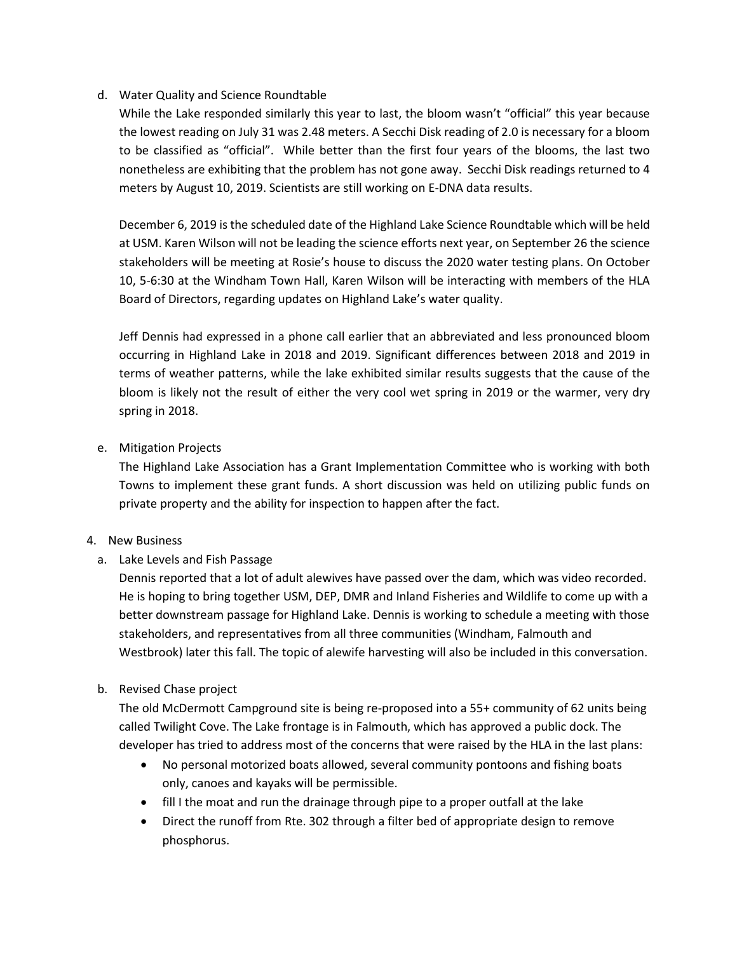## d. Water Quality and Science Roundtable

While the Lake responded similarly this year to last, the bloom wasn't "official" this year because the lowest reading on July 31 was 2.48 meters. A Secchi Disk reading of 2.0 is necessary for a bloom to be classified as "official". While better than the first four years of the blooms, the last two nonetheless are exhibiting that the problem has not gone away. Secchi Disk readings returned to 4 meters by August 10, 2019. Scientists are still working on E-DNA data results.

December 6, 2019 is the scheduled date of the Highland Lake Science Roundtable which will be held at USM. Karen Wilson will not be leading the science efforts next year, on September 26 the science stakeholders will be meeting at Rosie's house to discuss the 2020 water testing plans. On October 10, 5-6:30 at the Windham Town Hall, Karen Wilson will be interacting with members of the HLA Board of Directors, regarding updates on Highland Lake's water quality.

Jeff Dennis had expressed in a phone call earlier that an abbreviated and less pronounced bloom occurring in Highland Lake in 2018 and 2019. Significant differences between 2018 and 2019 in terms of weather patterns, while the lake exhibited similar results suggests that the cause of the bloom is likely not the result of either the very cool wet spring in 2019 or the warmer, very dry spring in 2018.

# e. Mitigation Projects

The Highland Lake Association has a Grant Implementation Committee who is working with both Towns to implement these grant funds. A short discussion was held on utilizing public funds on private property and the ability for inspection to happen after the fact.

## 4. New Business

a. Lake Levels and Fish Passage

Dennis reported that a lot of adult alewives have passed over the dam, which was video recorded. He is hoping to bring together USM, DEP, DMR and Inland Fisheries and Wildlife to come up with a better downstream passage for Highland Lake. Dennis is working to schedule a meeting with those stakeholders, and representatives from all three communities (Windham, Falmouth and Westbrook) later this fall. The topic of alewife harvesting will also be included in this conversation.

# b. Revised Chase project

The old McDermott Campground site is being re-proposed into a 55+ community of 62 units being called Twilight Cove. The Lake frontage is in Falmouth, which has approved a public dock. The developer has tried to address most of the concerns that were raised by the HLA in the last plans:

- No personal motorized boats allowed, several community pontoons and fishing boats only, canoes and kayaks will be permissible.
- fill I the moat and run the drainage through pipe to a proper outfall at the lake
- Direct the runoff from Rte. 302 through a filter bed of appropriate design to remove phosphorus.